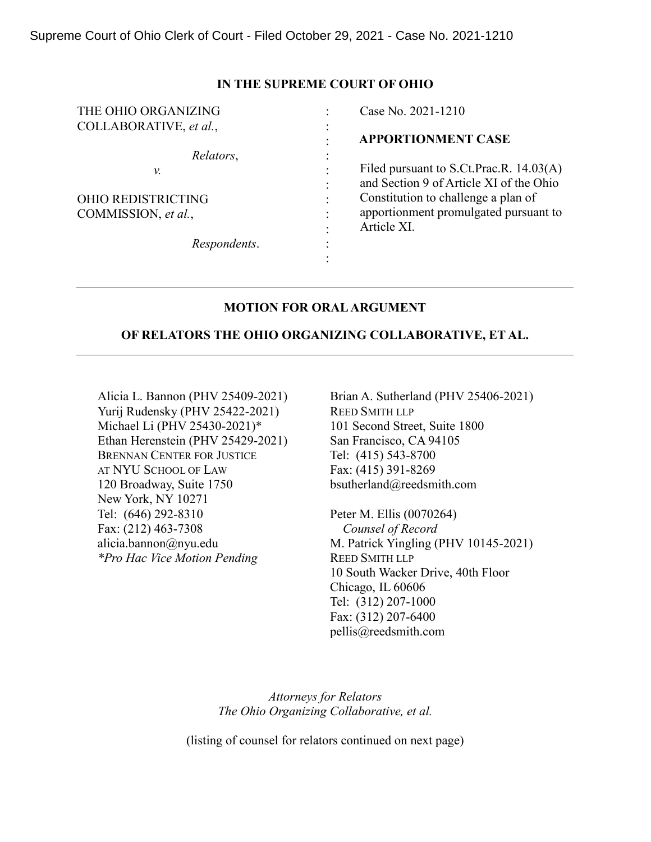### **IN THE SUPREME COURT OF OHIO**

| THE OHIO ORGANIZING       |                        | Case No. 2021-1210                      |
|---------------------------|------------------------|-----------------------------------------|
| COLLABORATIVE, et al.,    | $\bullet$<br>$\bullet$ |                                         |
|                           | $\bullet$              | <b>APPORTIONMENT CASE</b>               |
| Relators,                 |                        |                                         |
| v.                        |                        | Filed pursuant to S.Ct.Prac.R. 14.03(A) |
|                           |                        | and Section 9 of Article XI of the Ohio |
| <b>OHIO REDISTRICTING</b> | $\ddot{\cdot}$         | Constitution to challenge a plan of     |
| COMMISSION, et al.,       |                        | apportionment promulgated pursuant to   |
|                           |                        | Article XI.                             |
| Respondents.              | $\bullet$              |                                         |
|                           |                        |                                         |

## **MOTION FOR ORAL ARGUMENT**

## **OF RELATORS THE OHIO ORGANIZING COLLABORATIVE, ET AL.**

Alicia L. Bannon (PHV 25409-2021) Yurij Rudensky (PHV 25422-2021) Michael Li (PHV 25430-2021)\* Ethan Herenstein (PHV 25429-2021) BRENNAN CENTER FOR JUSTICE AT NYU SCHOOL OF LAW 120 Broadway, Suite 1750 New York, NY 10271 Tel: (646) 292-8310 Fax: (212) 463-7308 alicia.bannon@nyu.edu *\*Pro Hac Vice Motion Pending*

Brian A. Sutherland (PHV 25406-2021) REED SMITH LLP 101 Second Street, Suite 1800 San Francisco, CA 94105 Tel: (415) 543-8700 Fax: (415) 391-8269 bsutherland@reedsmith.com

Peter M. Ellis (0070264)  *Counsel of Record* M. Patrick Yingling (PHV 10145-2021) REED SMITH LLP 10 South Wacker Drive, 40th Floor Chicago, IL 60606 Tel: (312) 207-1000 Fax: (312) 207-6400 pellis@reedsmith.com

*Attorneys for Relators The Ohio Organizing Collaborative, et al.*

(listing of counsel for relators continued on next page)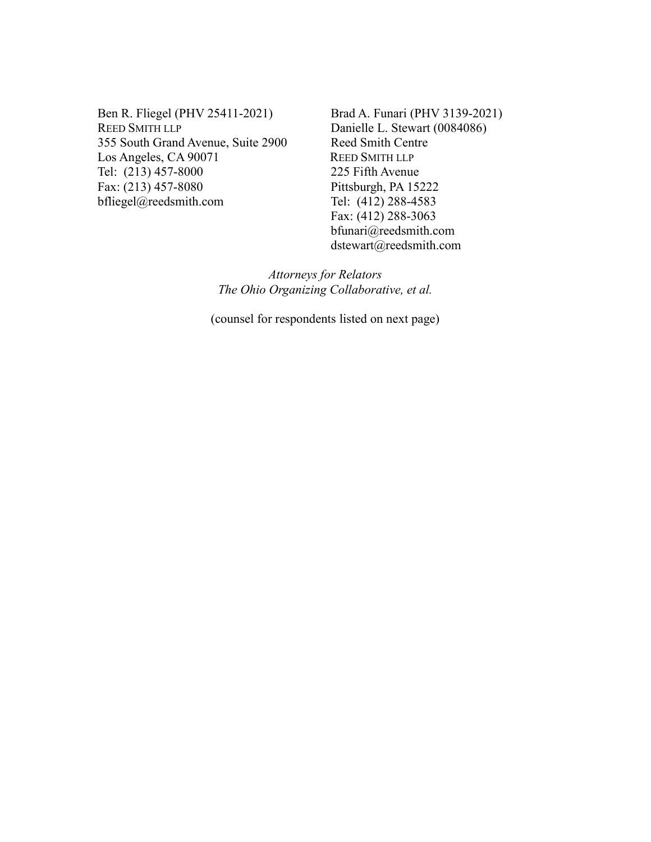Ben R. Fliegel (PHV 25411-2021) REED SMITH LLP 355 South Grand Avenue, Suite 2900 Los Angeles, CA 90071 Tel: (213) 457-8000 Fax: (213) 457-8080 bfliegel@reedsmith.com

Brad A. Funari (PHV 3139-2021) Danielle L. Stewart (0084086) Reed Smith Centre REED SMITH LLP 225 Fifth Avenue Pittsburgh, PA 15222 Tel: (412) 288-4583 Fax: (412) 288-3063 bfunari@reedsmith.com dstewart@reedsmith.com

*Attorneys for Relators The Ohio Organizing Collaborative, et al.*

(counsel for respondents listed on next page)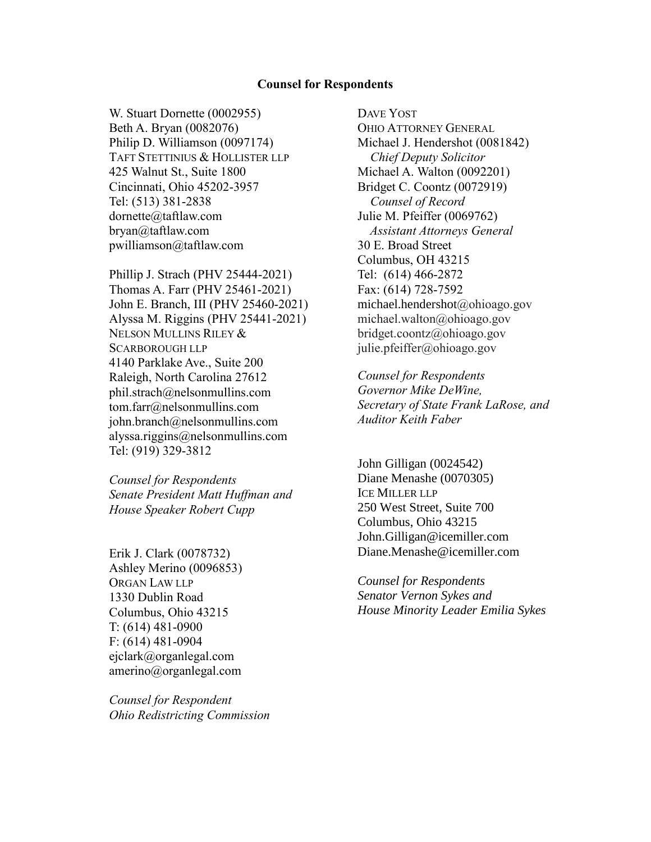#### **Counsel for Respondents**

W. Stuart Dornette (0002955) Beth A. Bryan (0082076) Philip D. Williamson (0097174) TAFT STETTINIUS & HOLLISTER LLP 425 Walnut St., Suite 1800 Cincinnati, Ohio 45202-3957 Tel: (513) 381-2838 dornette@taftlaw.com bryan@taftlaw.com pwilliamson@taftlaw.com

Phillip J. Strach (PHV 25444-2021) Thomas A. Farr (PHV 25461-2021) John E. Branch, III (PHV 25460-2021) Alyssa M. Riggins (PHV 25441-2021) NELSON MULLINS RILEY & SCARBOROUGH LLP 4140 Parklake Ave., Suite 200 Raleigh, North Carolina 27612 phil.strach@nelsonmullins.com tom.farr@nelsonmullins.com john.branch@nelsonmullins.com alyssa.riggins@nelsonmullins.com Tel: (919) 329-3812

*Counsel for Respondents Senate President Matt Huffman and House Speaker Robert Cupp*

Erik J. Clark (0078732) Ashley Merino (0096853) ORGAN LAW LLP 1330 Dublin Road Columbus, Ohio 43215 T: (614) 481-0900 F: (614) 481-0904 ejclark@organlegal.com amerino@organlegal.com

*Counsel for Respondent Ohio Redistricting Commission*

DAVE YOST OHIO ATTORNEY GENERAL Michael J. Hendershot (0081842) *Chief Deputy Solicitor* Michael A. Walton (0092201) Bridget C. Coontz (0072919)  *Counsel of Record* Julie M. Pfeiffer (0069762)  *Assistant Attorneys General* 30 E. Broad Street Columbus, OH 43215 Tel: (614) 466-2872 Fax: (614) 728-7592 michael.hendershot@ohioago.gov michael.walton@ohioago.gov bridget.coontz@ohioago.gov julie.pfeiffer@ohioago.gov

*Counsel for Respondents Governor Mike DeWine, Secretary of State Frank LaRose, and Auditor Keith Faber*

John Gilligan (0024542) Diane Menashe (0070305) ICE MILLER LLP 250 West Street, Suite 700 Columbus, Ohio 43215 John.Gilligan@icemiller.com Diane.Menashe@icemiller.com

*Counsel for Respondents Senator Vernon Sykes and House Minority Leader Emilia Sykes*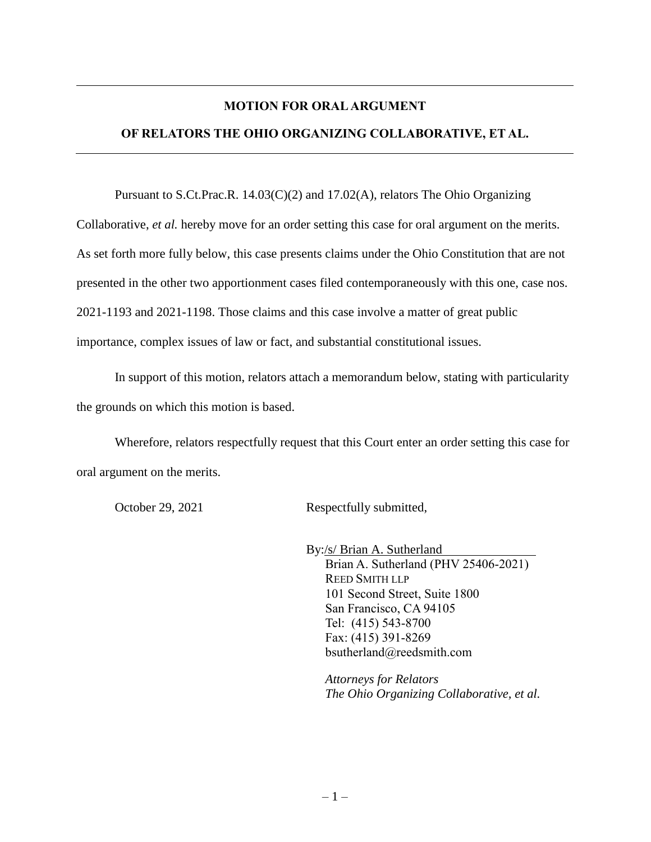# **MOTION FOR ORAL ARGUMENT**

### **OF RELATORS THE OHIO ORGANIZING COLLABORATIVE, ET AL.**

Pursuant to S.Ct.Prac.R. 14.03(C)(2) and 17.02(A), relators The Ohio Organizing Collaborative, *et al.* hereby move for an order setting this case for oral argument on the merits. As set forth more fully below, this case presents claims under the Ohio Constitution that are not presented in the other two apportionment cases filed contemporaneously with this one, case nos. 2021-1193 and 2021-1198. Those claims and this case involve a matter of great public importance, complex issues of law or fact, and substantial constitutional issues.

In support of this motion, relators attach a memorandum below, stating with particularity the grounds on which this motion is based.

Wherefore, relators respectfully request that this Court enter an order setting this case for oral argument on the merits.

October 29, 2021 Respectfully submitted,

By:/s/ Brian A. Sutherland Brian A. Sutherland (PHV 25406-2021) REED SMITH LLP 101 Second Street, Suite 1800 San Francisco, CA 94105 Tel: (415) 543-8700 Fax: (415) 391-8269 bsutherland@reedsmith.com

*Attorneys for Relators The Ohio Organizing Collaborative, et al.*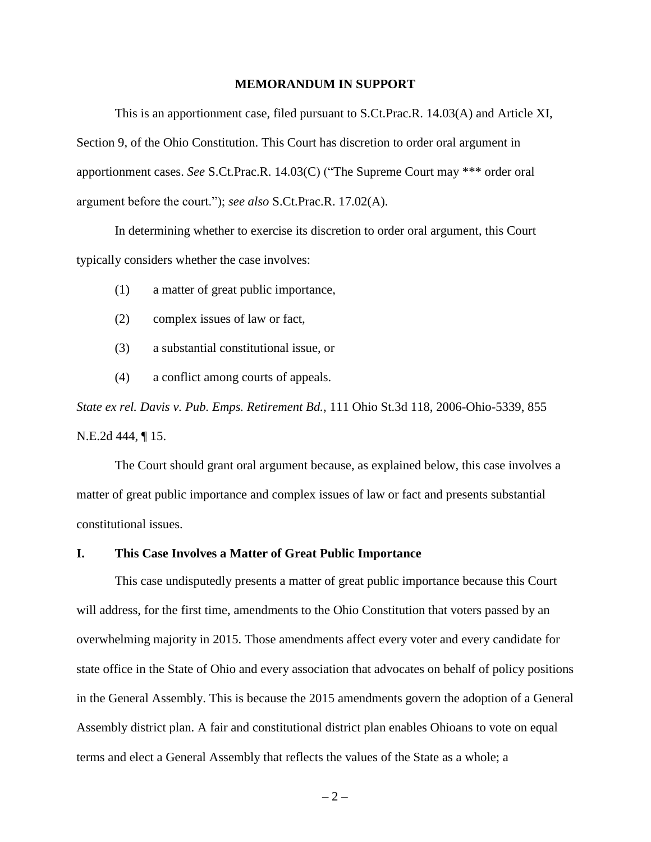#### **MEMORANDUM IN SUPPORT**

This is an apportionment case, filed pursuant to S.Ct.Prac.R. 14.03(A) and Article XI, Section 9, of the Ohio Constitution. This Court has discretion to order oral argument in apportionment cases. *See* S.Ct.Prac.R. 14.03(C) ("The Supreme Court may \*\*\* order oral argument before the court."); *see also* S.Ct.Prac.R. 17.02(A).

In determining whether to exercise its discretion to order oral argument, this Court typically considers whether the case involves:

- (1) a matter of great public importance,
- (2) complex issues of law or fact,
- (3) a substantial constitutional issue, or
- (4) a conflict among courts of appeals.

*State ex rel. Davis v. Pub. Emps. Retirement Bd.*, 111 Ohio St.3d 118, 2006-Ohio-5339, 855 N.E.2d 444, ¶ 15.

The Court should grant oral argument because, as explained below, this case involves a matter of great public importance and complex issues of law or fact and presents substantial constitutional issues.

#### **I. This Case Involves a Matter of Great Public Importance**

This case undisputedly presents a matter of great public importance because this Court will address, for the first time, amendments to the Ohio Constitution that voters passed by an overwhelming majority in 2015. Those amendments affect every voter and every candidate for state office in the State of Ohio and every association that advocates on behalf of policy positions in the General Assembly. This is because the 2015 amendments govern the adoption of a General Assembly district plan. A fair and constitutional district plan enables Ohioans to vote on equal terms and elect a General Assembly that reflects the values of the State as a whole; a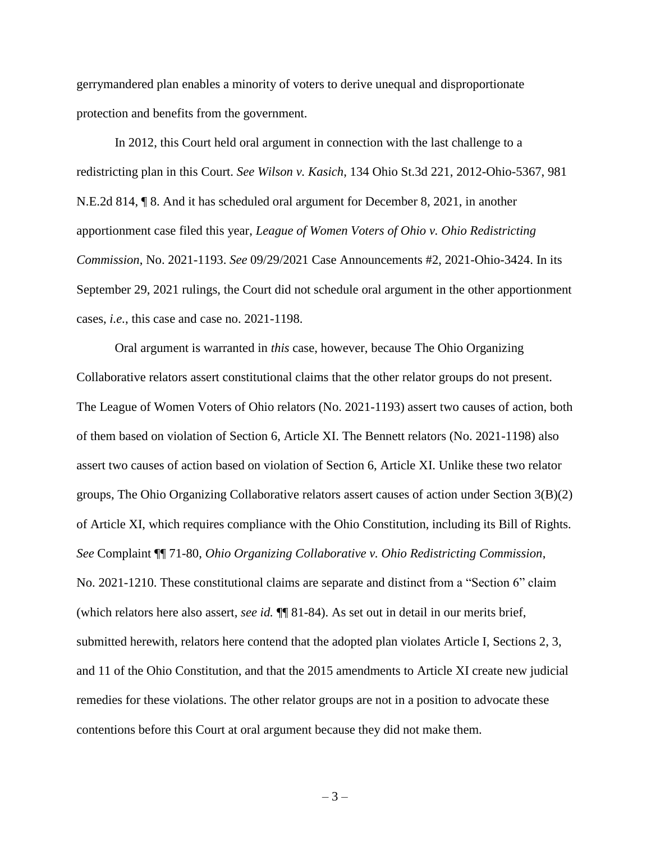gerrymandered plan enables a minority of voters to derive unequal and disproportionate protection and benefits from the government.

In 2012, this Court held oral argument in connection with the last challenge to a redistricting plan in this Court. *See Wilson v. Kasich*, 134 Ohio St.3d 221, 2012-Ohio-5367, 981 N.E.2d 814, ¶ 8. And it has scheduled oral argument for December 8, 2021, in another apportionment case filed this year, *League of Women Voters of Ohio v. Ohio Redistricting Commission*, No. 2021-1193. *See* 09/29/2021 Case Announcements #2, 2021-Ohio-3424. In its September 29, 2021 rulings, the Court did not schedule oral argument in the other apportionment cases, *i.e.*, this case and case no. 2021-1198.

Oral argument is warranted in *this* case, however, because The Ohio Organizing Collaborative relators assert constitutional claims that the other relator groups do not present. The League of Women Voters of Ohio relators (No. 2021-1193) assert two causes of action, both of them based on violation of Section 6, Article XI. The Bennett relators (No. 2021-1198) also assert two causes of action based on violation of Section 6, Article XI. Unlike these two relator groups, The Ohio Organizing Collaborative relators assert causes of action under Section 3(B)(2) of Article XI, which requires compliance with the Ohio Constitution, including its Bill of Rights. *See* Complaint ¶¶ 71-80, *Ohio Organizing Collaborative v. Ohio Redistricting Commission*, No. 2021-1210. These constitutional claims are separate and distinct from a "Section 6" claim (which relators here also assert, *see id.* ¶¶ 81-84). As set out in detail in our merits brief, submitted herewith, relators here contend that the adopted plan violates Article I, Sections 2, 3, and 11 of the Ohio Constitution, and that the 2015 amendments to Article XI create new judicial remedies for these violations. The other relator groups are not in a position to advocate these contentions before this Court at oral argument because they did not make them.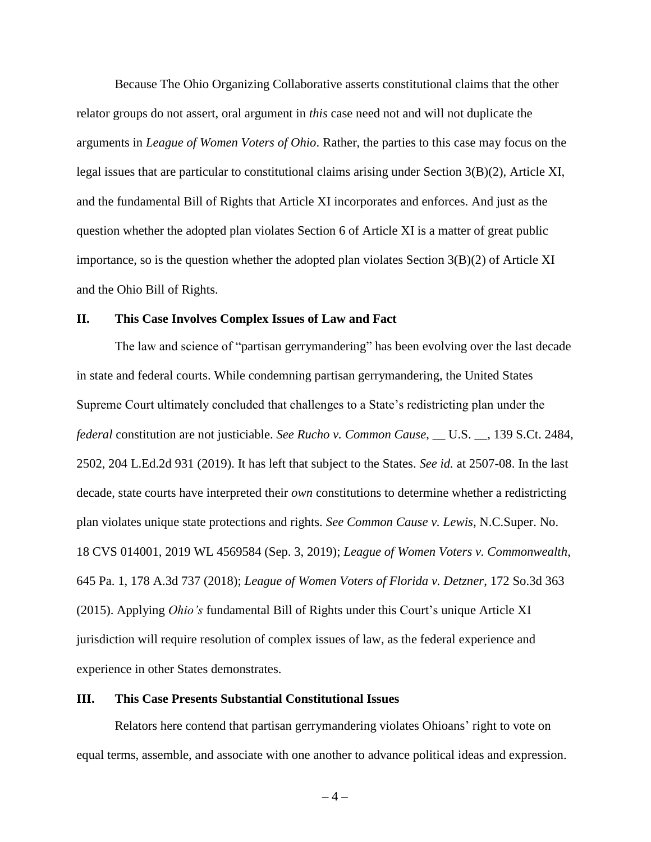Because The Ohio Organizing Collaborative asserts constitutional claims that the other relator groups do not assert, oral argument in *this* case need not and will not duplicate the arguments in *League of Women Voters of Ohio*. Rather, the parties to this case may focus on the legal issues that are particular to constitutional claims arising under Section 3(B)(2), Article XI, and the fundamental Bill of Rights that Article XI incorporates and enforces. And just as the question whether the adopted plan violates Section 6 of Article XI is a matter of great public importance, so is the question whether the adopted plan violates Section 3(B)(2) of Article XI and the Ohio Bill of Rights.

#### **II. This Case Involves Complex Issues of Law and Fact**

The law and science of "partisan gerrymandering" has been evolving over the last decade in state and federal courts. While condemning partisan gerrymandering, the United States Supreme Court ultimately concluded that challenges to a State's redistricting plan under the *federal* constitution are not justiciable. *See Rucho v. Common Cause*, \_\_ U.S. \_\_, 139 S.Ct. 2484, 2502, 204 L.Ed.2d 931 (2019). It has left that subject to the States. *See id.* at 2507-08. In the last decade, state courts have interpreted their *own* constitutions to determine whether a redistricting plan violates unique state protections and rights. *See Common Cause v. Lewis*, N.C.Super. No. 18 CVS 014001, 2019 WL 4569584 (Sep. 3, 2019); *League of Women Voters v. Commonwealth*, 645 Pa. 1, 178 A.3d 737 (2018); *League of Women Voters of Florida v. Detzner*, 172 So.3d 363 (2015). Applying *Ohio's* fundamental Bill of Rights under this Court's unique Article XI jurisdiction will require resolution of complex issues of law, as the federal experience and experience in other States demonstrates.

# **III. This Case Presents Substantial Constitutional Issues**

Relators here contend that partisan gerrymandering violates Ohioans' right to vote on equal terms, assemble, and associate with one another to advance political ideas and expression.

 $-4-$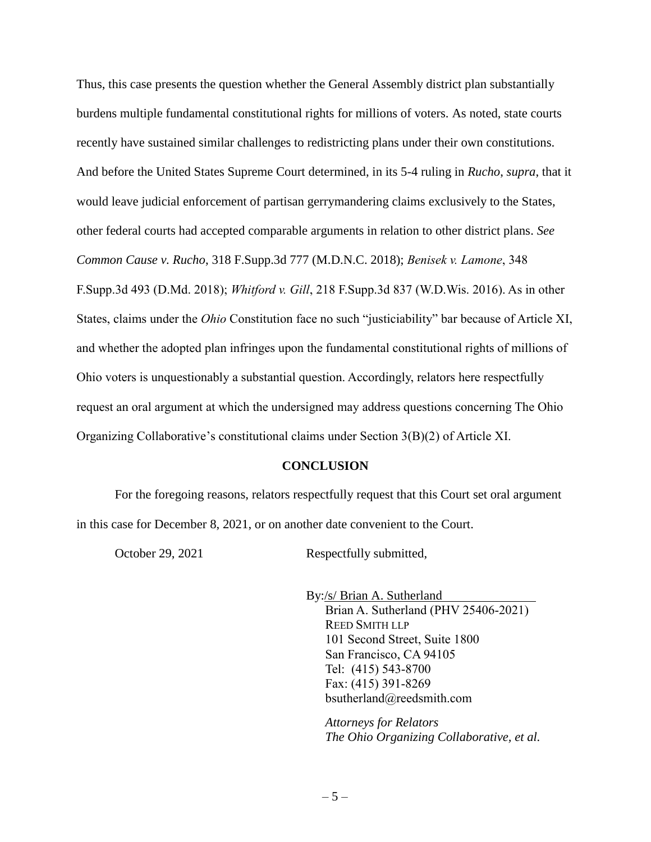Thus, this case presents the question whether the General Assembly district plan substantially burdens multiple fundamental constitutional rights for millions of voters. As noted, state courts recently have sustained similar challenges to redistricting plans under their own constitutions. And before the United States Supreme Court determined, in its 5-4 ruling in *Rucho*, *supra*, that it would leave judicial enforcement of partisan gerrymandering claims exclusively to the States, other federal courts had accepted comparable arguments in relation to other district plans. *See Common Cause v. Rucho*, 318 F.Supp.3d 777 (M.D.N.C. 2018); *Benisek v. Lamone*, 348 F.Supp.3d 493 (D.Md. 2018); *Whitford v. Gill*, 218 F.Supp.3d 837 (W.D.Wis. 2016). As in other States, claims under the *Ohio* Constitution face no such "justiciability" bar because of Article XI, and whether the adopted plan infringes upon the fundamental constitutional rights of millions of Ohio voters is unquestionably a substantial question. Accordingly, relators here respectfully request an oral argument at which the undersigned may address questions concerning The Ohio Organizing Collaborative's constitutional claims under Section 3(B)(2) of Article XI.

#### **CONCLUSION**

For the foregoing reasons, relators respectfully request that this Court set oral argument in this case for December 8, 2021, or on another date convenient to the Court.

October 29, 2021 Respectfully submitted,

By:/s/ Brian A. Sutherland Brian A. Sutherland (PHV 25406-2021) REED SMITH LLP 101 Second Street, Suite 1800 San Francisco, CA 94105 Tel: (415) 543-8700 Fax: (415) 391-8269 bsutherland@reedsmith.com

*Attorneys for Relators The Ohio Organizing Collaborative, et al.*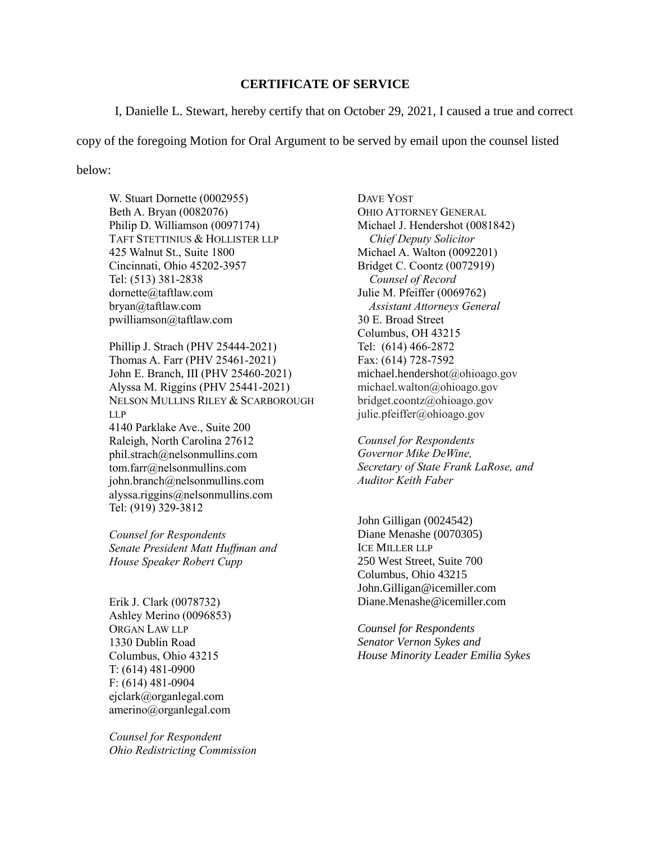### **CERTIFICATE OF SERVICE**

I, Danielle L. Stewart, hereby certify that on October 29, 2021, I caused a true and correct

copy of the foregoing Motion for Oral Argument to be served by email upon the counsel listed

below:

W. Stuart Dornette (0002955) Beth A. Bryan (0082076) Philip D. Williamson (0097174) TAFT STETTINIUS & HOLLISTER LLP 425 Walnut St., Suite 1800 Cincinnati, Ohio 45202-3957 Tel: (513) 381-2838 dornette@taftlaw.com bryan@taftlaw.com pwilliamson@taftlaw.com

Phillip J. Strach (PHV 25444-2021) Thomas A. Farr (PHV 25461-2021) John E. Branch, III (PHV 25460-2021) Alyssa M. Riggins (PHV 25441-2021) NELSON MULLINS RILEY & SCARBOROUGH **LLD** 4140 Parklake Ave., Suite 200 Raleigh, North Carolina 27612 phil.strach@nelsonmullins.com tom.farr@nelsonmullins.com john.branch@nelsonmullins.com alyssa.riggins@nelsonmullins.com Tel: (919) 329-3812

*Counsel for Respondents Senate President Matt Huffman and House Speaker Robert Cupp*

Erik J. Clark (0078732) Ashley Merino (0096853) ORGAN LAW LLP 1330 Dublin Road Columbus, Ohio 43215 T: (614) 481-0900 F: (614) 481-0904 ejclark@organlegal.com amerino@organlegal.com

*Counsel for Respondent Ohio Redistricting Commission*

DAVE YOST OHIO ATTORNEY GENERAL Michael J. Hendershot (0081842) *Chief Deputy Solicitor* Michael A. Walton (0092201) Bridget C. Coontz (0072919)  *Counsel of Record* Julie M. Pfeiffer (0069762)  *Assistant Attorneys General* 30 E. Broad Street Columbus, OH 43215 Tel: (614) 466-2872 Fax: (614) 728-7592 michael.hendershot@ohioago.gov michael.walton@ohioago.gov bridget.coontz@ohioago.gov julie.pfeiffer@ohioago.gov

*Counsel for Respondents Governor Mike DeWine, Secretary of State Frank LaRose, and Auditor Keith Faber*

John Gilligan (0024542) Diane Menashe (0070305) ICE MILLER LLP 250 West Street, Suite 700 Columbus, Ohio 43215 John.Gilligan@icemiller.com Diane.Menashe@icemiller.com

*Counsel for Respondents Senator Vernon Sykes and House Minority Leader Emilia Sykes*